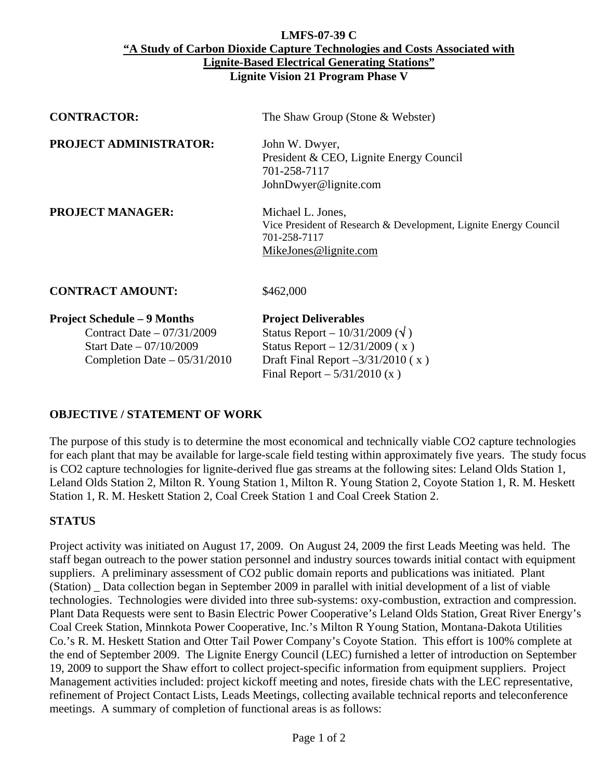### **LMFS-07-39 C "A Study of Carbon Dioxide Capture Technologies and Costs Associated with Lignite-Based Electrical Generating Stations" Lignite Vision 21 Program Phase V**

| <b>CONTRACTOR:</b>            | The Shaw Group (Stone $&$ Webster)                                                                                             |
|-------------------------------|--------------------------------------------------------------------------------------------------------------------------------|
| <b>PROJECT ADMINISTRATOR:</b> | John W. Dwyer,<br>President & CEO, Lignite Energy Council<br>701-258-7117<br>JohnDwyer@lignite.com                             |
| <b>PROJECT MANAGER:</b>       | Michael L. Jones,<br>Vice President of Research & Development, Lignite Energy Council<br>701-258-7117<br>MikeJones@lignite.com |
| <b>CONTRACT AMOUNT:</b>       | \$462,000                                                                                                                      |

| <b>Project Deliverables</b>                 |
|---------------------------------------------|
| Status Report – $10/31/2009$ ( $\sqrt{ }$ ) |
| Status Report – $12/31/2009$ (x)            |
| Draft Final Report $-3/31/2010$ (x)         |
| Final Report $-5/31/2010$ (x)               |
|                                             |

# **OBJECTIVE / STATEMENT OF WORK**

The purpose of this study is to determine the most economical and technically viable CO2 capture technologies for each plant that may be available for large-scale field testing within approximately five years. The study focus is CO2 capture technologies for lignite-derived flue gas streams at the following sites: Leland Olds Station 1, Leland Olds Station 2, Milton R. Young Station 1, Milton R. Young Station 2, Coyote Station 1, R. M. Heskett Station 1, R. M. Heskett Station 2, Coal Creek Station 1 and Coal Creek Station 2.

# **STATUS**

Project activity was initiated on August 17, 2009. On August 24, 2009 the first Leads Meeting was held. The staff began outreach to the power station personnel and industry sources towards initial contact with equipment suppliers. A preliminary assessment of CO2 public domain reports and publications was initiated. Plant (Station) \_ Data collection began in September 2009 in parallel with initial development of a list of viable technologies. Technologies were divided into three sub-systems: oxy-combustion, extraction and compression. Plant Data Requests were sent to Basin Electric Power Cooperative's Leland Olds Station, Great River Energy's Coal Creek Station, Minnkota Power Cooperative, Inc.'s Milton R Young Station, Montana-Dakota Utilities Co.'s R. M. Heskett Station and Otter Tail Power Company's Coyote Station. This effort is 100% complete at the end of September 2009. The Lignite Energy Council (LEC) furnished a letter of introduction on September 19, 2009 to support the Shaw effort to collect project-specific information from equipment suppliers. Project Management activities included: project kickoff meeting and notes, fireside chats with the LEC representative, refinement of Project Contact Lists, Leads Meetings, collecting available technical reports and teleconference meetings. A summary of completion of functional areas is as follows: